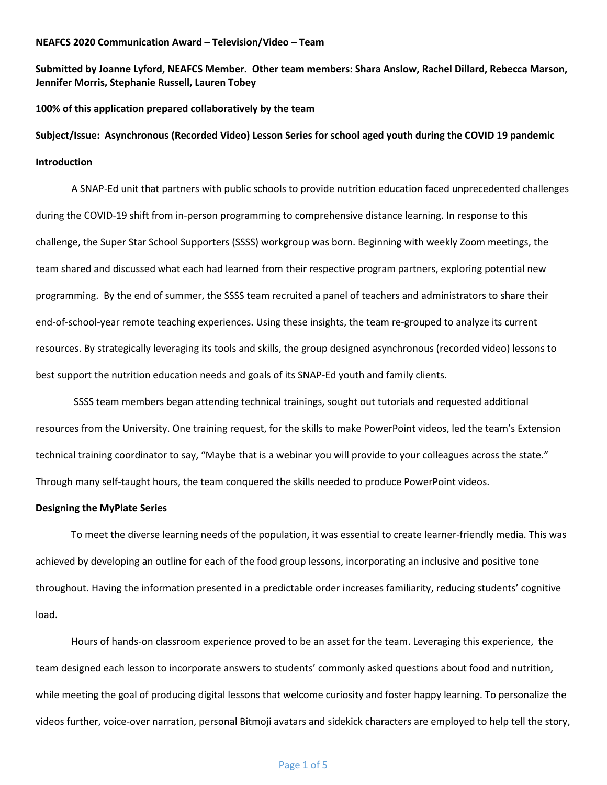#### **NEAFCS 2020 Communication Award – Television/Video – Team**

**Submitted by Joanne Lyford, NEAFCS Member. Other team members: Shara Anslow, Rachel Dillard, Rebecca Marson, Jennifer Morris, Stephanie Russell, Lauren Tobey**

**100% of this application prepared collaboratively by the team**

**Subject/Issue: Asynchronous (Recorded Video) Lesson Series for school aged youth during the COVID 19 pandemic Introduction** 

A SNAP-Ed unit that partners with public schools to provide nutrition education faced unprecedented challenges during the COVID-19 shift from in-person programming to comprehensive distance learning. In response to this challenge, the Super Star School Supporters (SSSS) workgroup was born. Beginning with weekly Zoom meetings, the team shared and discussed what each had learned from their respective program partners, exploring potential new programming. By the end of summer, the SSSS team recruited a panel of teachers and administrators to share their end-of-school-year remote teaching experiences. Using these insights, the team re-grouped to analyze its current resources. By strategically leveraging its tools and skills, the group designed asynchronous (recorded video) lessons to best support the nutrition education needs and goals of its SNAP-Ed youth and family clients.

SSSS team members began attending technical trainings, sought out tutorials and requested additional resources from the University. One training request, for the skills to make PowerPoint videos, led the team's Extension technical training coordinator to say, "Maybe that is a webinar you will provide to your colleagues across the state." Through many self-taught hours, the team conquered the skills needed to produce PowerPoint videos.

#### **Designing the MyPlate Series**

To meet the diverse learning needs of the population, it was essential to create learner-friendly media. This was achieved by developing an outline for each of the food group lessons, incorporating an inclusive and positive tone throughout. Having the information presented in a predictable order increases familiarity, reducing students' cognitive load.

Hours of hands-on classroom experience proved to be an asset for the team. Leveraging this experience, the team designed each lesson to incorporate answers to students' commonly asked questions about food and nutrition, while meeting the goal of producing digital lessons that welcome curiosity and foster happy learning. To personalize the videos further, voice-over narration, personal Bitmoji avatars and sidekick characters are employed to help tell the story,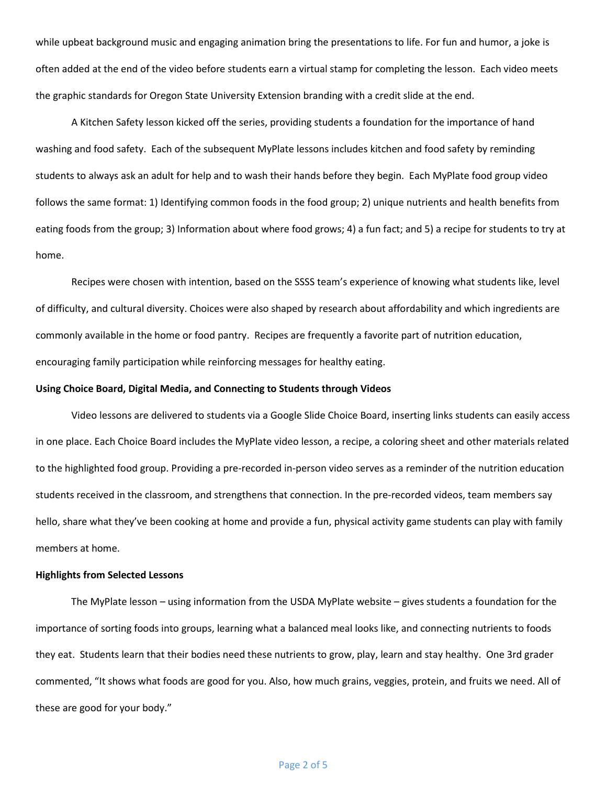while upbeat background music and engaging animation bring the presentations to life. For fun and humor, a joke is often added at the end of the video before students earn a virtual stamp for completing the lesson. Each video meets the graphic standards for Oregon State University Extension branding with a credit slide at the end.

A Kitchen Safety lesson kicked off the series, providing students a foundation for the importance of hand washing and food safety. Each of the subsequent MyPlate lessons includes kitchen and food safety by reminding students to always ask an adult for help and to wash their hands before they begin. Each MyPlate food group video follows the same format: 1) Identifying common foods in the food group; 2) unique nutrients and health benefits from eating foods from the group; 3) Information about where food grows; 4) a fun fact; and 5) a recipe for students to try at home.

Recipes were chosen with intention, based on the SSSS team's experience of knowing what students like, level of difficulty, and cultural diversity. Choices were also shaped by research about affordability and which ingredients are commonly available in the home or food pantry. Recipes are frequently a favorite part of nutrition education, encouraging family participation while reinforcing messages for healthy eating.

#### **Using Choice Board, Digital Media, and Connecting to Students through Videos**

Video lessons are delivered to students via a Google Slide Choice Board, inserting links students can easily access in one place. Each Choice Board includes the MyPlate video lesson, a recipe, a coloring sheet and other materials related to the highlighted food group. Providing a pre-recorded in-person video serves as a reminder of the nutrition education students received in the classroom, and strengthens that connection. In the pre-recorded videos, team members say hello, share what they've been cooking at home and provide a fun, physical activity game students can play with family members at home.

#### **Highlights from Selected Lessons**

The MyPlate lesson – using information from the USDA MyPlate website – gives students a foundation for the importance of sorting foods into groups, learning what a balanced meal looks like, and connecting nutrients to foods they eat. Students learn that their bodies need these nutrients to grow, play, learn and stay healthy. One 3rd grader commented, "It shows what foods are good for you. Also, how much grains, veggies, protein, and fruits we need. All of these are good for your body."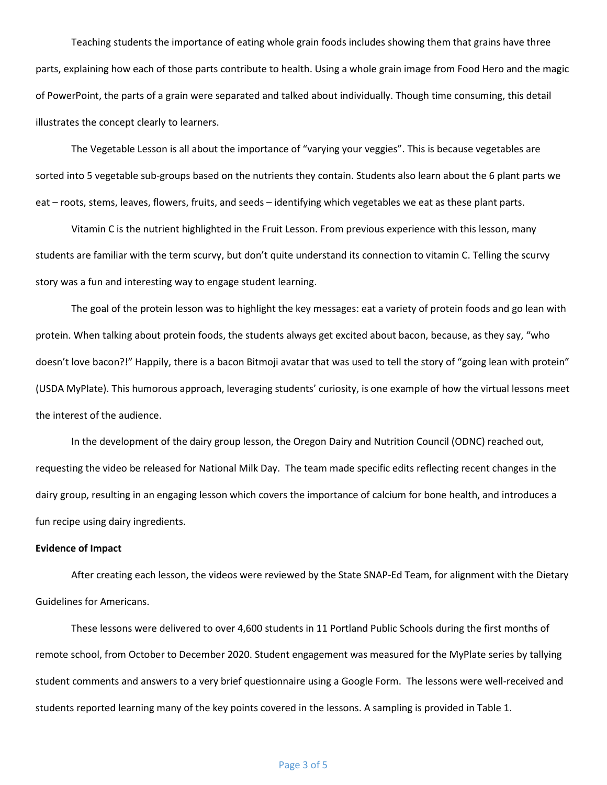Teaching students the importance of eating whole grain foods includes showing them that grains have three parts, explaining how each of those parts contribute to health. Using a whole grain image from Food Hero and the magic of PowerPoint, the parts of a grain were separated and talked about individually. Though time consuming, this detail illustrates the concept clearly to learners.

The Vegetable Lesson is all about the importance of "varying your veggies". This is because vegetables are sorted into 5 vegetable sub-groups based on the nutrients they contain. Students also learn about the 6 plant parts we eat – roots, stems, leaves, flowers, fruits, and seeds – identifying which vegetables we eat as these plant parts.

Vitamin C is the nutrient highlighted in the Fruit Lesson. From previous experience with this lesson, many students are familiar with the term scurvy, but don't quite understand its connection to vitamin C. Telling the scurvy story was a fun and interesting way to engage student learning.

The goal of the protein lesson was to highlight the key messages: eat a variety of protein foods and go lean with protein. When talking about protein foods, the students always get excited about bacon, because, as they say, "who doesn't love bacon?!" Happily, there is a bacon Bitmoji avatar that was used to tell the story of "going lean with protein" (USDA MyPlate). This humorous approach, leveraging students' curiosity, is one example of how the virtual lessons meet the interest of the audience.

In the development of the dairy group lesson, the Oregon Dairy and Nutrition Council (ODNC) reached out, requesting the video be released for National Milk Day. The team made specific edits reflecting recent changes in the dairy group, resulting in an engaging lesson which covers the importance of calcium for bone health, and introduces a fun recipe using dairy ingredients.

#### **Evidence of Impact**

After creating each lesson, the videos were reviewed by the State SNAP-Ed Team, for alignment with the Dietary Guidelines for Americans.

These lessons were delivered to over 4,600 students in 11 Portland Public Schools during the first months of remote school, from October to December 2020. Student engagement was measured for the MyPlate series by tallying student comments and answers to a very brief questionnaire using a Google Form. The lessons were well-received and students reported learning many of the key points covered in the lessons. A sampling is provided in Table 1.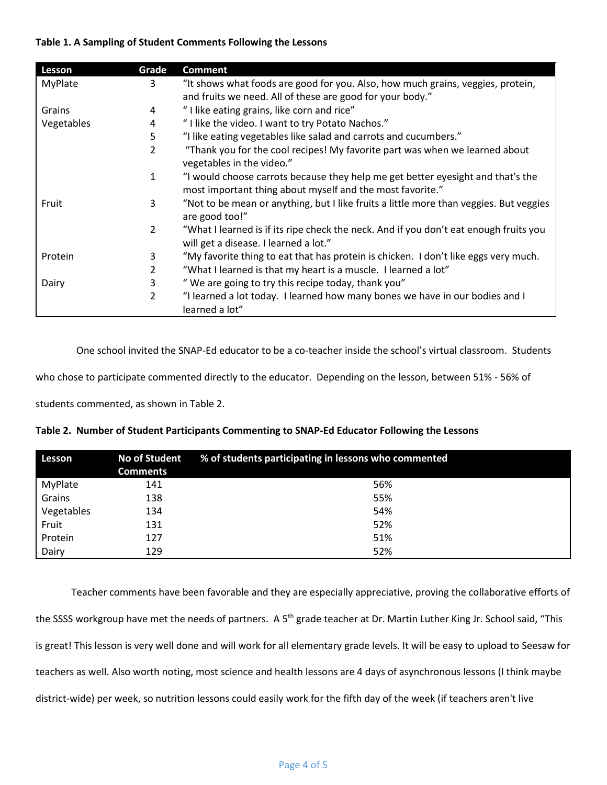# **Table 1. A Sampling of Student Comments Following the Lessons**

| Lesson         | Grade          | <b>Comment</b>                                                                                                                               |
|----------------|----------------|----------------------------------------------------------------------------------------------------------------------------------------------|
| <b>MyPlate</b> | 3              | "It shows what foods are good for you. Also, how much grains, veggies, protein,                                                              |
|                |                | and fruits we need. All of these are good for your body."                                                                                    |
| Grains         | 4              | "I like eating grains, like corn and rice"                                                                                                   |
| Vegetables     | 4              | "I like the video. I want to try Potato Nachos."                                                                                             |
|                | 5              | "I like eating vegetables like salad and carrots and cucumbers."                                                                             |
|                | 2              | "Thank you for the cool recipes! My favorite part was when we learned about<br>vegetables in the video."                                     |
|                | 1              | "I would choose carrots because they help me get better eyesight and that's the<br>most important thing about myself and the most favorite." |
| Fruit          | 3              | "Not to be mean or anything, but I like fruits a little more than veggies. But veggies<br>are good too!"                                     |
|                | $\mathfrak{D}$ | "What I learned is if its ripe check the neck. And if you don't eat enough fruits you<br>will get a disease. I learned a lot."               |
| Protein        | 3              | "My favorite thing to eat that has protein is chicken. I don't like eggs very much.                                                          |
|                | $\overline{2}$ | "What I learned is that my heart is a muscle. I learned a lot"                                                                               |
| Dairy          | 3              | "We are going to try this recipe today, thank you"                                                                                           |
|                | 2              | "I learned a lot today. I learned how many bones we have in our bodies and I<br>learned a lot"                                               |

One school invited the SNAP-Ed educator to be a co-teacher inside the school's virtual classroom. Students

who chose to participate commented directly to the educator. Depending on the lesson, between 51% - 56% of

students commented, as shown in Table 2.

| Lesson     | No of Student<br><b>Comments</b> | % of students participating in lessons who commented |
|------------|----------------------------------|------------------------------------------------------|
| MyPlate    | 141                              | 56%                                                  |
| Grains     | 138                              | 55%                                                  |
| Vegetables | 134                              | 54%                                                  |
| Fruit      | 131                              | 52%                                                  |
| Protein    | 127                              | 51%                                                  |
| Dairy      | 129                              | 52%                                                  |

**Table 2. Number of Student Participants Commenting to SNAP-Ed Educator Following the Lessons**

Teacher comments have been favorable and they are especially appreciative, proving the collaborative efforts of the SSSS workgroup have met the needs of partners. A 5<sup>th</sup> grade teacher at Dr. Martin Luther King Jr. School said, "This is great! This lesson is very well done and will work for all elementary grade levels. It will be easy to upload to Seesaw for teachers as well. Also worth noting, most science and health lessons are 4 days of asynchronous lessons (I think maybe district-wide) per week, so nutrition lessons could easily work for the fifth day of the week (if teachers aren't live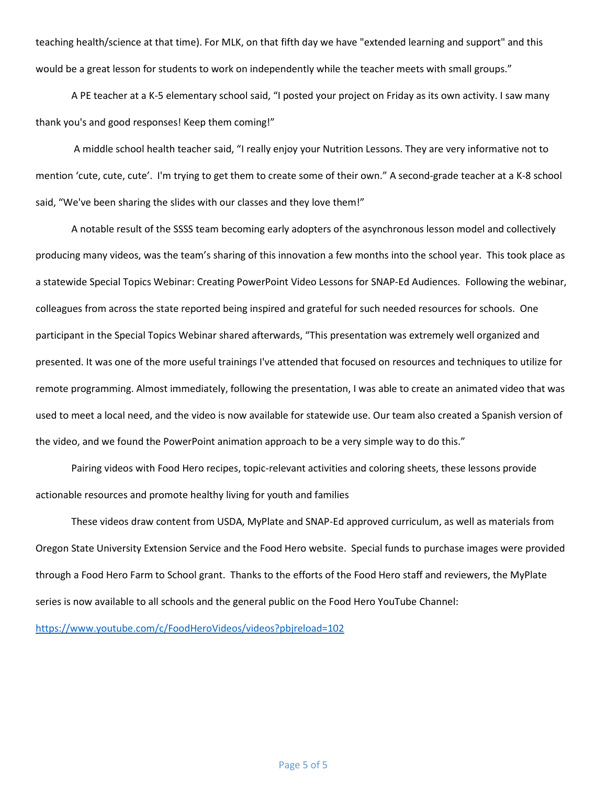teaching health/science at that time). For MLK, on that fifth day we have "extended learning and support" and this would be a great lesson for students to work on independently while the teacher meets with small groups."

A PE teacher at a K-5 elementary school said, "I posted your project on Friday as its own activity. I saw many thank you's and good responses! Keep them coming!"

A middle school health teacher said, "I really enjoy your Nutrition Lessons. They are very informative not to mention 'cute, cute, cute'. I'm trying to get them to create some of their own." A second-grade teacher at a K-8 school said, "We've been sharing the slides with our classes and they love them!"

A notable result of the SSSS team becoming early adopters of the asynchronous lesson model and collectively producing many videos, was the team's sharing of this innovation a few months into the school year. This took place as a statewide Special Topics Webinar: Creating PowerPoint Video Lessons for SNAP-Ed Audiences. Following the webinar, colleagues from across the state reported being inspired and grateful for such needed resources for schools. One participant in the Special Topics Webinar shared afterwards, "This presentation was extremely well organized and presented. It was one of the more useful trainings I've attended that focused on resources and techniques to utilize for remote programming. Almost immediately, following the presentation, I was able to create an animated video that was used to meet a local need, and the video is now available for statewide use. Our team also created a Spanish version of the video, and we found the PowerPoint animation approach to be a very simple way to do this."

Pairing videos with Food Hero recipes, topic-relevant activities and coloring sheets, these lessons provide actionable resources and promote healthy living for youth and families

These videos draw content from USDA, MyPlate and SNAP-Ed approved curriculum, as well as materials from Oregon State University Extension Service and the Food Hero website. Special funds to purchase images were provided through a Food Hero Farm to School grant. Thanks to the efforts of the Food Hero staff and reviewers, the MyPlate series is now available to all schools and the general public on the Food Hero YouTube Channel:

<https://www.youtube.com/c/FoodHeroVideos/videos?pbjreload=102>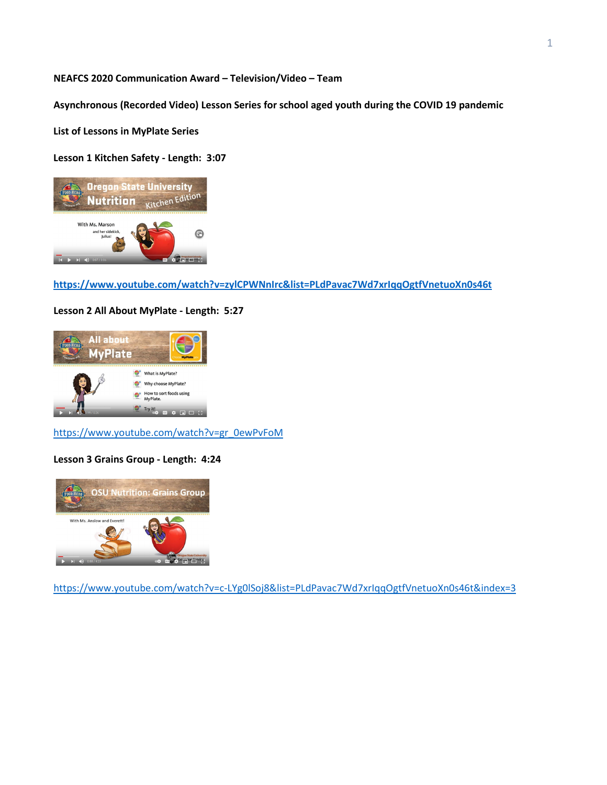### **NEAFCS 2020 Communication Award – Television/Video – Team**

**Asynchronous (Recorded Video) Lesson Series for school aged youth during the COVID 19 pandemic**

**List of Lessons in MyPlate Series**

## **Lesson 1 Kitchen Safety - Length: 3:07**



**<https://www.youtube.com/watch?v=zylCPWNnIrc&list=PLdPavac7Wd7xrIqqOgtfVnetuoXn0s46t>**

### **Lesson 2 All About MyPlate - Length: 5:27**



[https://www.youtube.com/watch?v=gr\\_0ewPvFoM](https://www.youtube.com/watch?v=gr_0ewPvFoM)

# **Lesson 3 Grains Group - Length: 4:24**



<https://www.youtube.com/watch?v=c-LYg0lSoj8&list=PLdPavac7Wd7xrIqqOgtfVnetuoXn0s46t&index=3>